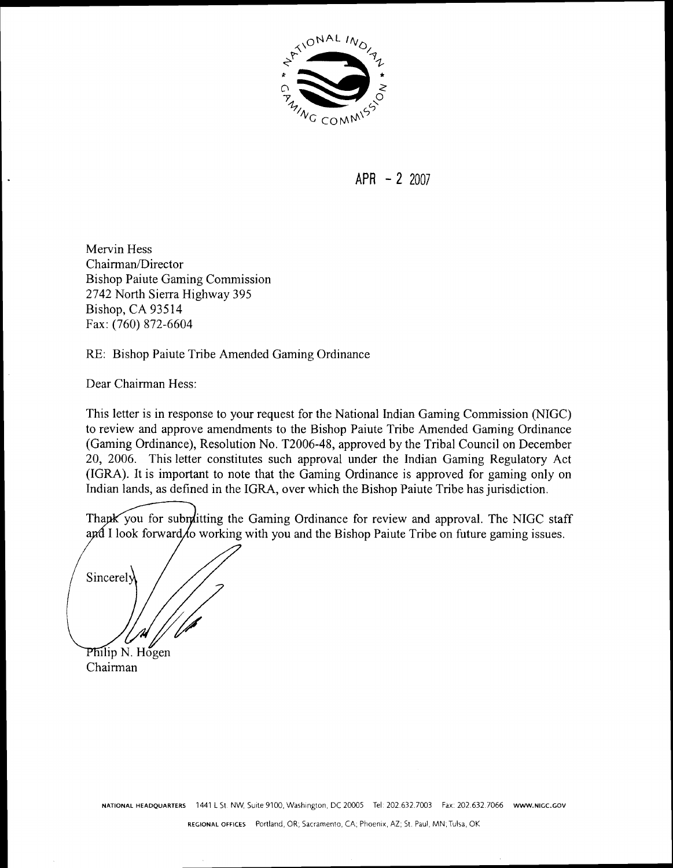

**APR** - 2 2007

Mervin Hess Chairman/Director Bishop Paiute Gaming Commission 2742 North Sierra Highway 395 Bishop, CA 93514 Fax: (760) 872-6604

RE: Bishop Paiute Tribe Amended Gaming Ordinance

Dear Chairman Hess:

This letter is in response to your request for the National Indian Gaming Commission (NIGC) to review and approve amendments to the Bishop Paiute Tribe Amended Gaming Ordinance (Gaming Ordinance), Resolution No. T2006-48, approved by the Tribal Council on December 20, 2006. This letter constitutes such approval under the Indian Gaming Regulatory Act (IGRA). It is important to note that the Gaming Ordinance is approved for gaming only on Indian lands, as defined in the IGRA, over which the Bishop Paiute Tribe has jurisdiction.

Thapk you for submitting the Gaming Ordinance for review and approval. The NIGC staff and I look forward to working with you and the Bishop Paiute Tribe on future gaming issues.

Sincerely Philip N. Hogen

Chairman

NATIONAL HEADQUARTERS 1441 L St. NW, Suite 9100, Washington, DC 20005 Tel: 202.632.7003 Fax: 202.632.7066 www.NIGC.GOV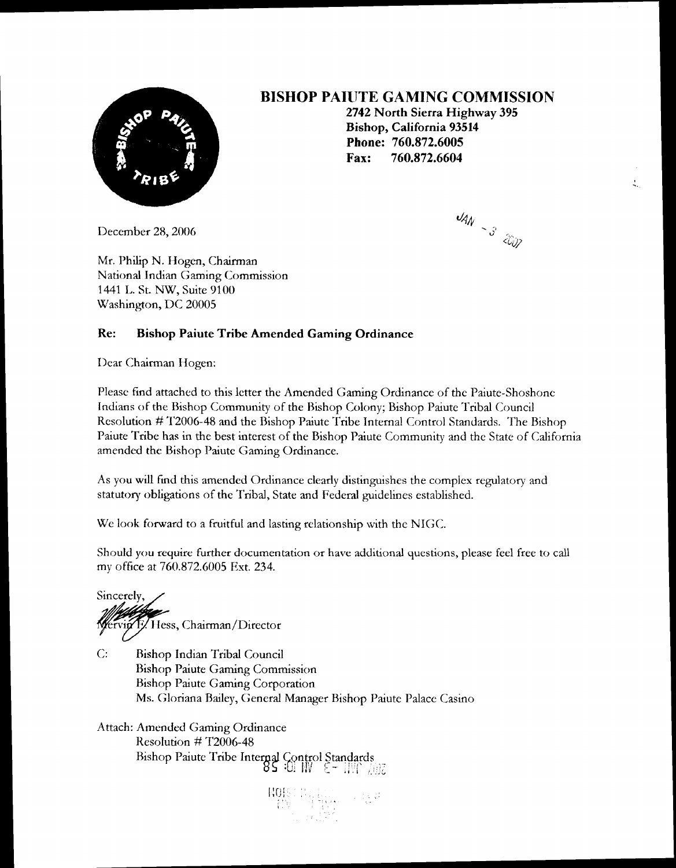

## **BISHOP PAIUTE GAMING COMMISSION**

**2742 North Sierra Highway 395 Bishop, California 93514 Phone: 760.872.6005 Fax: 760.872.6604** 

December 28,2006

 $44N - 325$ 

 $\ddot{z}$ 

Mr. Philip N. Hogen, Chairman National Indian Gaming Commission 1441 L. St. NW, Suite 9100 Washington, DC 20005

### **Re: Bishop Paiute Tribe Amended Gaming Ordinance**

Dear Chairman Hogen:

Please find attached to this letter the Amended Gaming Ordinance of the Paiute-Shoshone Indians of the Bishop Community of the Bishop Colony; Bishop Paiute Tribal Council Resolution # 1'2006-48 and the Bishop Paiute Tribe Internal Control Standards. The Bishop Paiute Tribe has in the best interest of the Bishop Paiute Community and the State of California amended the Bishop Paiute Gaming Ordinance.

As you will find this amended Ordinance clearly distinguishes the complex regulatory and statutory obligations of the Tribal, State and Federal guidelines established.

We look forward to a fruitful and lasting relationship with the NIGC.

Should you require further documentation or have additional questions, please feel free to call my office at 760.872.6005 Est. 234.

Sincerely, in F. Hess, Chairman/Director

C: Bishop Indian Tribal Council Bishop Paiute Gaming Commission Rishop Paiute Gaming Corporation Ms. Gloriana Bailey, General Manager Bishop Paiute Palace Casino

Attach: Amended Gaming Ordinance Resolution  $\#$  T2006-48 Bishop Paiute Tribe Internal Control Standards<br>**85 :0.** *III*  $\epsilon$  -  $\frac{11!}{2!}$ .